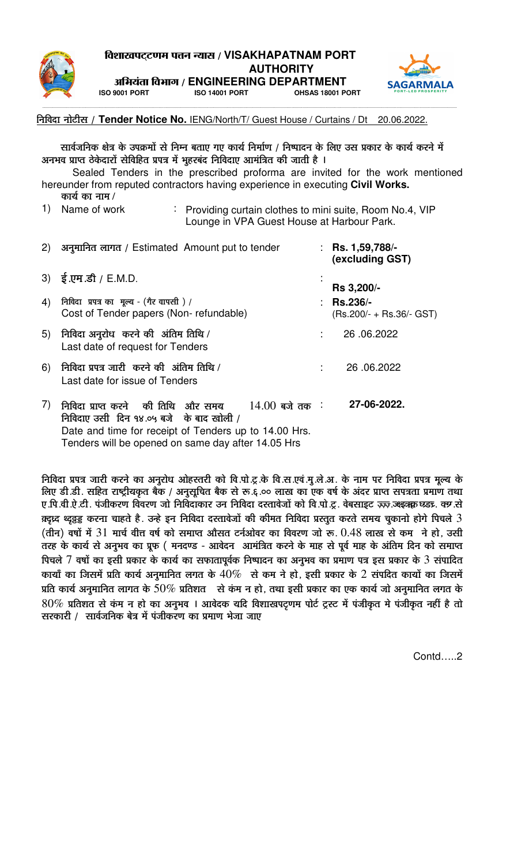



+Ê¦ÉªÉÆiÉÉ Ê´É¦ÉÉMÉ / **ENGINEERING DEPARTMENT ISO 9001 PORT ISO 14001 PORT OHSAS 18001 PORT**

---------------------------------------------------------------------------------------------------------------------------------------------------------------------------------------------------------------------------------------------------------------------------------------------------------------------------------------------------------------------------

### निविदा नोटीस / Tender Notice No. IENG/North/T/ Guest House / Curtains / Dt 20.06.2022.

सार्वजनिक क्षेत्र के उपक्रमों से निम्न बताए गए कार्य निर्माण / निष्पादन के लिए उस प्रकार के कार्य करने में अनभव प्राप्त ठेकेदारों सेविहित प्रपत्र में भूहरबंद निविदाए आमंत्रित की जाती है ।

Sealed Tenders in the prescribed proforma are invited for the work mentioned hereunder from reputed contractors having experience in executing **Civil Works.**   $\Phi$ कार्य का नाम/

1) Name of work

 $\therefore$  Providing curtain clothes to mini suite, Room No.4, VIP Lounge in VPA Guest House at Harbour Park.

| (2) | अनुमानित लागत / Estimated Amount put to tender                                                                                                                                                                   | : Rs. $1,59,788/-$<br>(excluding GST)      |  |  |
|-----|------------------------------------------------------------------------------------------------------------------------------------------------------------------------------------------------------------------|--------------------------------------------|--|--|
|     | 3) $\frac{1}{5}$ .एम .डी / E.M.D.                                                                                                                                                                                | Rs 3,200/-                                 |  |  |
| 4)  | निविदा प्रपत्र का मूल्य - (गैर वापसी) /<br>Cost of Tender papers (Non-refundable)                                                                                                                                | $:$ Rs.236/-<br>$(Rs.200/ + Rs.36/ - GST)$ |  |  |
| 5)  | निविदा अनुरोध करने की अंतिम तिथि /<br>Last date of request for Tenders                                                                                                                                           | 26,06,2022                                 |  |  |
| 6)  | निविदा प्रपत्र जारी करने की अंतिम तिथि /<br>Last date for issue of Tenders                                                                                                                                       | 26.06.2022                                 |  |  |
| 7)  | निविदा प्राप्त करने की तिथि और समय<br>$14.00$ बजे तक ः<br>निविदाए उसी दिन १४.०५ बजे के बाद खोली /<br>Date and time for receipt of Tenders up to 14.00 Hrs.<br>Tenders will be opened on same day after 14.05 Hrs | 27-06-2022.                                |  |  |

निविदा प्रपत्र जारी करने का अनुरोध ओहस्तरी को वि.पो.टू.के वि.स.एवं.मू.ले.अ. के नाम पर निविदा प्रपत्र मूल्य के लिए डी.डी. सहित राष्ट्रीयकृत बैंक / अनुसूचित बैंक से रू.६.०० लाख का एक वर्ष के अंदर प्राप्त सपत्रता प्रमाण तथा <u>ए पि वी ऐ टी. पंजीकरण विवरण जो निविदाकार उन निविदा दस्तावेजों को वि पो टू. वेबसाइट इंच्छु उक्हुऋक घड्ट. क्र से</u>  $\frac{1}{2}$ क्ट्रिय थ्र्द्रड्ड करना चाहते है. उन्हे इन निविदा दस्तावेजों की कीमत निविदा प्रस्तुत करते समय चुकानो होगे पिचले  $3$  $\left( \frac{\partial \mathbf{F}}{\partial \mathbf{F}} \right)$  वर्षों में  $31$  मार्च वीत्त वर्ष को समाप्त औसत टर्नओवर का विवरण जो रू.  $0.48$  लाख से कम  $\,$ ने हो, उसी तरह के कार्य से अनूभव का प्रूफ ( मनदण्ड - आवेदन) आमंत्रित करने के माह से पूर्व माह के अंतिम दिन को समाप्त पिचले  $7$  वर्षों का इसी प्रकार के कार्य का सफातापूर्वक निष्पादन का अनुभव का प्रमाण पत्र इस प्रकार के  $3$  संपादित कायाँ का जिसमें प्रति कार्य अनुमानित लगत के  $40\%$  से कम ने हो, इसी प्रकार के 2 संपदित कार्यों का जिसमें प्रति कार्य अनुमानित लागत के  $50\%$  प्रतिशत से कंम न हो, तथा इसी प्रकार का एक कार्य जो अनुमानित लगत के  $80\%$  प्रतिशत से कंम न हो का अनुभव । आवेदक यदि विशाखपट्रणम पोर्ट ट्रस्ट में पंजीकृत मे पंजीकृत नहीं है तो सरकारी / सार्वजनिक बेत्र में पंजीकरण का प्रमाण भेजा जाए

Contd…..2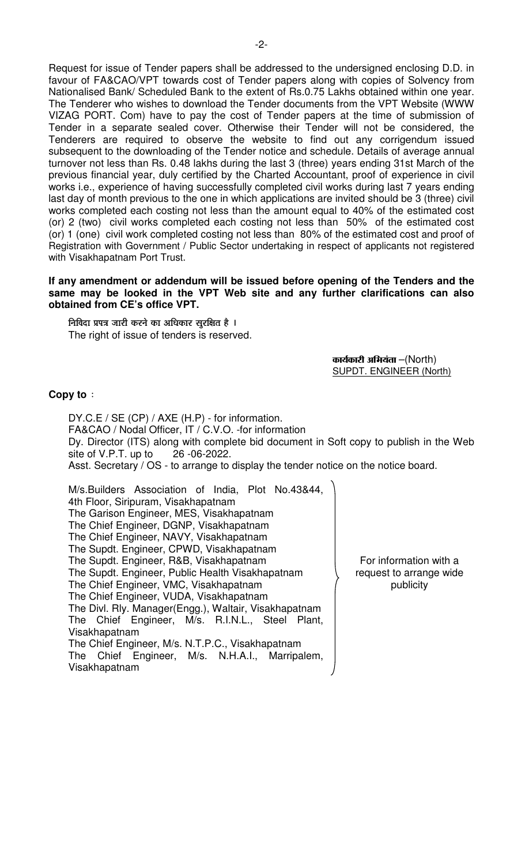Request for issue of Tender papers shall be addressed to the undersigned enclosing D.D. in favour of FA&CAO/VPT towards cost of Tender papers along with copies of Solvency from Nationalised Bank/ Scheduled Bank to the extent of Rs.0.75 Lakhs obtained within one year. The Tenderer who wishes to download the Tender documents from the VPT Website (WWW VIZAG PORT. Com) have to pay the cost of Tender papers at the time of submission of Tender in a separate sealed cover. Otherwise their Tender will not be considered, the Tenderers are required to observe the website to find out any corrigendum issued subsequent to the downloading of the Tender notice and schedule. Details of average annual turnover not less than Rs. 0.48 lakhs during the last 3 (three) years ending 31st March of the previous financial year, duly certified by the Charted Accountant, proof of experience in civil works i.e., experience of having successfully completed civil works during last 7 years ending last day of month previous to the one in which applications are invited should be 3 (three) civil works completed each costing not less than the amount equal to 40% of the estimated cost (or) 2 (two) civil works completed each costing not less than 50% of the estimated cost (or) 1 (one) civil work completed costing not less than 80% of the estimated cost and proof of Registration with Government / Public Sector undertaking in respect of applicants not registered with Visakhapatnam Port Trust.

#### **If any amendment or addendum will be issued before opening of the Tenders and the same may be looked in the VPT Web site and any further clarifications can also obtained from CE's office VPT.**

<u>निविदा प्रपत्र जारी करने का अधिकार सूरक्षित है ।</u> The right of issue of tenders is reserved.

> $\Phi$ कार्यकारी अभियंता –(North) SUPDT. ENGINEER (North)

### **Copy to** :

 DY.C.E / SE (CP) / AXE (H.P) - for information. FA&CAO / Nodal Officer, IT / C.V.O. -for information Dy. Director (ITS) along with complete bid document in Soft copy to publish in the Web site of V.P.T. up to 26 -06-2022. Asst. Secretary / OS - to arrange to display the tender notice on the notice board. M/s.Builders Association of India, Plot No.43&44,

4th Floor, Siripuram, Visakhapatnam The Garison Engineer, MES, Visakhapatnam The Chief Engineer, DGNP, Visakhapatnam The Chief Engineer, NAVY, Visakhapatnam The Supdt. Engineer, CPWD, Visakhapatnam The Supdt. Engineer, R&B, Visakhapatnam The Supdt. Engineer, Public Health Visakhapatnam The Chief Engineer, VMC, Visakhapatnam The Chief Engineer, VUDA, Visakhapatnam The Divl. Rly. Manager(Engg.), Waltair, Visakhapatnam The Chief Engineer, M/s. R.I.N.L., Steel Plant, Visakhapatnam The Chief Engineer, M/s. N.T.P.C., Visakhapatnam The Chief Engineer, M/s. N.H.A.I., Marripalem, Visakhapatnam

For information with a request to arrange wide publicity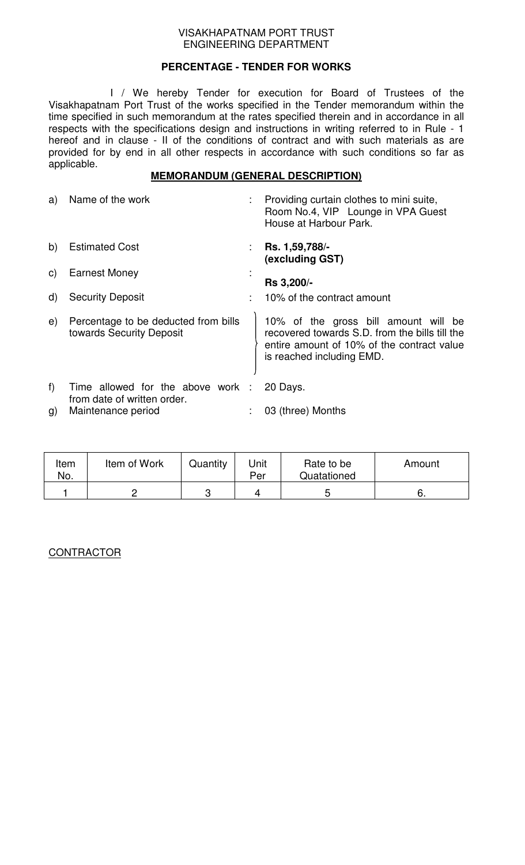## **PERCENTAGE - TENDER FOR WORKS**

 I / We hereby Tender for execution for Board of Trustees of the Visakhapatnam Port Trust of the works specified in the Tender memorandum within the time specified in such memorandum at the rates specified therein and in accordance in all respects with the specifications design and instructions in writing referred to in Rule - 1 hereof and in clause - II of the conditions of contract and with such materials as are provided for by end in all other respects in accordance with such conditions so far as applicable.

## **MEMORANDUM (GENERAL DESCRIPTION)**

| a)           | Name of the work                                                 |   | Providing curtain clothes to mini suite,<br>Room No.4, VIP Lounge in VPA Guest<br>House at Harbour Park.                                                          |
|--------------|------------------------------------------------------------------|---|-------------------------------------------------------------------------------------------------------------------------------------------------------------------|
| b)           | <b>Estimated Cost</b>                                            | ÷ | Rs. 1,59,788/-<br>(excluding GST)                                                                                                                                 |
| $\mathsf{C}$ | <b>Earnest Money</b>                                             |   | <b>Rs 3,200/-</b>                                                                                                                                                 |
| $\mathsf{d}$ | <b>Security Deposit</b>                                          |   | 10% of the contract amount                                                                                                                                        |
| e)           | Percentage to be deducted from bills<br>towards Security Deposit |   | 10% of the gross bill amount will be<br>recovered towards S.D. from the bills till the<br>entire amount of 10% of the contract value<br>is reached including EMD. |
| f            | Time allowed for the above work :<br>from date of written order. |   | 20 Days.                                                                                                                                                          |
| g)           | Maintenance period                                               |   | 03 (three) Months                                                                                                                                                 |

| Item<br>No. | Item of Work | Quantity | Unit<br>Per | Rate to be<br>Quatationed | Amount |
|-------------|--------------|----------|-------------|---------------------------|--------|
|             |              | ◠        |             | ь                         | ь.     |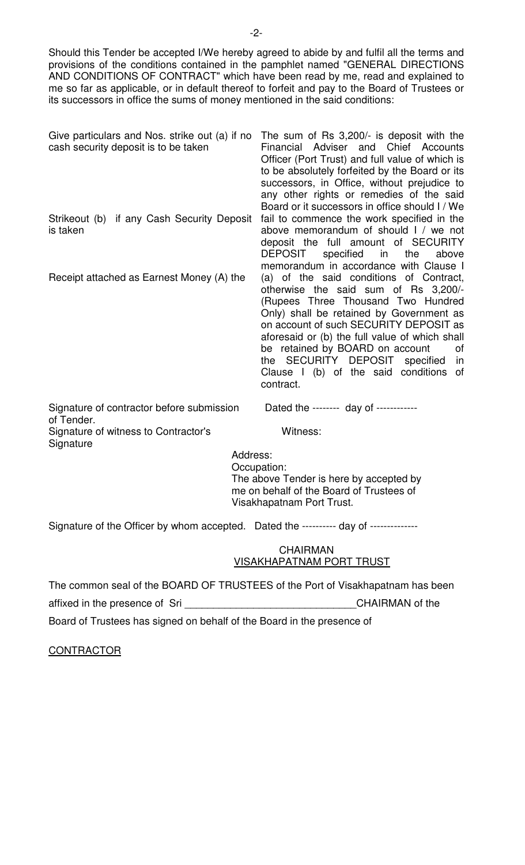Should this Tender be accepted I/We hereby agreed to abide by and fulfil all the terms and provisions of the conditions contained in the pamphlet named "GENERAL DIRECTIONS AND CONDITIONS OF CONTRACT" which have been read by me, read and explained to me so far as applicable, or in default thereof to forfeit and pay to the Board of Trustees or its successors in office the sums of money mentioned in the said conditions:

| Give particulars and Nos. strike out (a) if no<br>cash security deposit is to be taken | The sum of Rs 3,200/- is deposit with the<br>Financial Adviser and Chief Accounts<br>Officer (Port Trust) and full value of which is<br>to be absolutely forfeited by the Board or its<br>successors, in Office, without prejudice to<br>any other rights or remedies of the said<br>Board or it successors in office should I / We                                                                          |  |  |  |  |  |
|----------------------------------------------------------------------------------------|--------------------------------------------------------------------------------------------------------------------------------------------------------------------------------------------------------------------------------------------------------------------------------------------------------------------------------------------------------------------------------------------------------------|--|--|--|--|--|
| Strikeout (b) if any Cash Security Deposit<br>is taken                                 | fail to commence the work specified in the<br>above memorandum of should I / we not<br>deposit the full amount of SECURITY<br>DEPOSIT specified in the<br>above<br>memorandum in accordance with Clause I                                                                                                                                                                                                    |  |  |  |  |  |
| Receipt attached as Earnest Money (A) the                                              | (a) of the said conditions of Contract,<br>otherwise the said sum of Rs 3,200/-<br>(Rupees Three Thousand Two Hundred<br>Only) shall be retained by Government as<br>on account of such SECURITY DEPOSIT as<br>aforesaid or (b) the full value of which shall<br>be retained by BOARD on account<br>0f<br>the SECURITY DEPOSIT specified<br><i>in</i><br>Clause I (b) of the said conditions of<br>contract. |  |  |  |  |  |
| Signature of contractor before submission                                              | Dated the ------- day of -----------                                                                                                                                                                                                                                                                                                                                                                         |  |  |  |  |  |

of Tender. Signature of witness to Contractor's Witness: **Signature** 

 Address: Occupation: The above Tender is here by accepted by me on behalf of the Board of Trustees of Visakhapatnam Port Trust.

Signature of the Officer by whom accepted. Dated the ---------- day of --------------

### **CHAIRMAN** VISAKHAPATNAM PORT TRUST

The common seal of the BOARD OF TRUSTEES of the Port of Visakhapatnam has been affixed in the presence of Sri **Exercise 20** CHAIRMAN of the Board of Trustees has signed on behalf of the Board in the presence of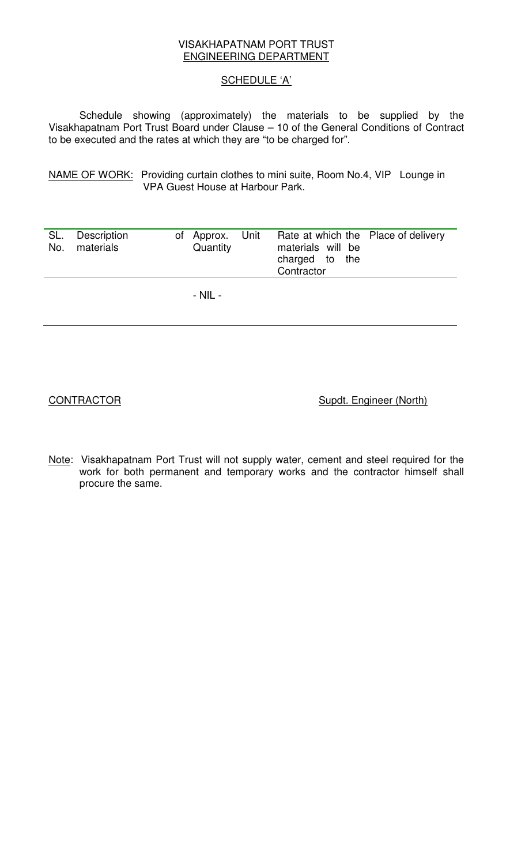## SCHEDULE 'A'

Schedule showing (approximately) the materials to be supplied by the Visakhapatnam Port Trust Board under Clause – 10 of the General Conditions of Contract to be executed and the rates at which they are "to be charged for".

NAME OF WORK: Providing curtain clothes to mini suite, Room No.4, VIP Lounge in VPA Guest House at Harbour Park.

| SL.<br>No. | Description<br>materials | of Approx. Unit<br>Quantity | Rate at which the Place of delivery<br>materials will be<br>charged to the<br>Contractor |  |
|------------|--------------------------|-----------------------------|------------------------------------------------------------------------------------------|--|
|            |                          | - NIL -                     |                                                                                          |  |

CONTRACTOR Supdt. Engineer (North)

Note: Visakhapatnam Port Trust will not supply water, cement and steel required for the work for both permanent and temporary works and the contractor himself shall procure the same.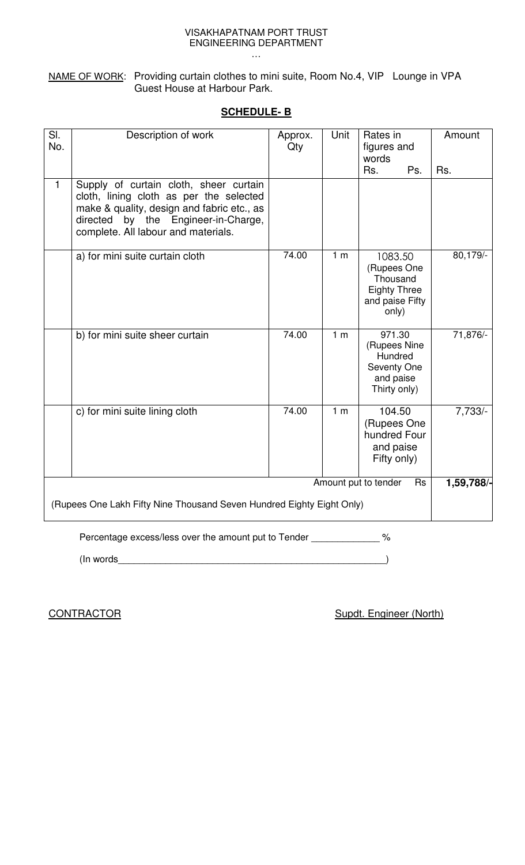NAME OF WORK: Providing curtain clothes to mini suite, Room No.4, VIP Lounge in VPA Guest House at Harbour Park.

## **SCHEDULE- B**

| SI.<br>No.                                                                                          | Description of work                                                                                                                                                                                           | Approx.<br>Qty | Unit           | Rates in<br>figures and<br>words<br>Rs.                                               | Ps. | Amount<br>Rs. |
|-----------------------------------------------------------------------------------------------------|---------------------------------------------------------------------------------------------------------------------------------------------------------------------------------------------------------------|----------------|----------------|---------------------------------------------------------------------------------------|-----|---------------|
| $\mathbf{1}$                                                                                        | Supply of curtain cloth, sheer curtain<br>cloth, lining cloth as per the selected<br>make & quality, design and fabric etc., as<br>directed by the Engineer-in-Charge,<br>complete. All labour and materials. |                |                |                                                                                       |     |               |
|                                                                                                     | a) for mini suite curtain cloth                                                                                                                                                                               | 74.00          | 1 <sub>m</sub> | 1083.50<br>(Rupees One<br>Thousand<br><b>Eighty Three</b><br>and paise Fifty<br>only) |     | 80,179/-      |
|                                                                                                     | b) for mini suite sheer curtain                                                                                                                                                                               | 74.00          | 1 <sub>m</sub> | 971.30<br>(Rupees Nine<br>Hundred<br>Seventy One<br>and paise<br>Thirty only)         |     | 71,876/-      |
|                                                                                                     | c) for mini suite lining cloth                                                                                                                                                                                | 74.00          | 1 <sub>m</sub> | 104.50<br>(Rupees One<br>hundred Four<br>and paise<br>Fifty only)                     |     | $7,733/-$     |
| Amount put to tender<br>Rs<br>(Rupees One Lakh Fifty Nine Thousand Seven Hundred Eighty Eight Only) |                                                                                                                                                                                                               |                |                |                                                                                       |     |               |
| Percentage excess/less over the amount put to Tender ____________<br>$\frac{1}{6}$                  |                                                                                                                                                                                                               |                |                |                                                                                       |     |               |
|                                                                                                     | (In words)                                                                                                                                                                                                    |                |                |                                                                                       |     |               |

**CONTRACTOR CONTRACTOR** *Supdt. Engineer (North)*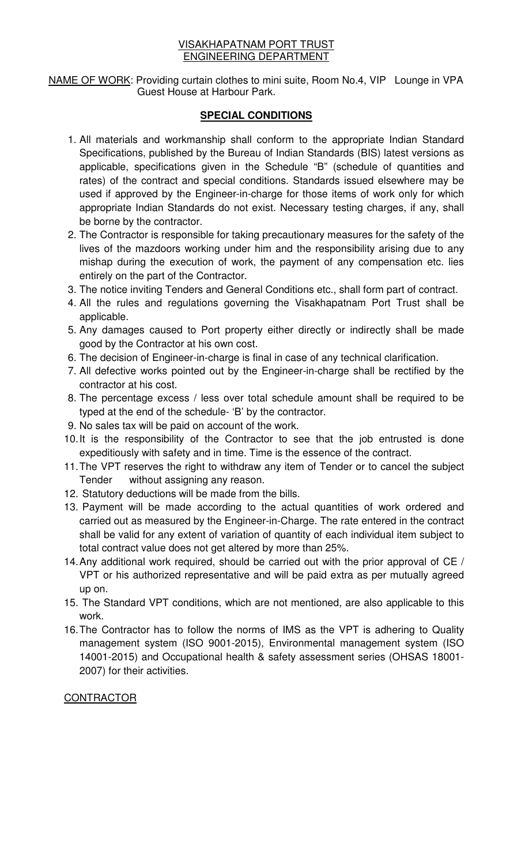NAME OF WORK: Providing curtain clothes to mini suite, Room No.4, VIP Lounge in VPA Guest House at Harbour Park.

## **SPECIAL CONDITIONS**

- 1. All materials and workmanship shall conform to the appropriate Indian Standard Specifications, published by the Bureau of Indian Standards (BIS) latest versions as applicable, specifications given in the Schedule "B" (schedule of quantities and rates) of the contract and special conditions. Standards issued elsewhere may be used if approved by the Engineer-in-charge for those items of work only for which appropriate Indian Standards do not exist. Necessary testing charges, if any, shall be borne by the contractor.
- 2. The Contractor is responsible for taking precautionary measures for the safety of the lives of the mazdoors working under him and the responsibility arising due to any mishap during the execution of work, the payment of any compensation etc. lies entirely on the part of the Contractor.
- 3. The notice inviting Tenders and General Conditions etc., shall form part of contract.
- 4. All the rules and regulations governing the Visakhapatnam Port Trust shall be applicable.
- 5. Any damages caused to Port property either directly or indirectly shall be made good by the Contractor at his own cost.
- 6. The decision of Engineer-in-charge is final in case of any technical clarification.
- 7. All defective works pointed out by the Engineer-in-charge shall be rectified by the contractor at his cost.
- 8. The percentage excess / less over total schedule amount shall be required to be typed at the end of the schedule- 'B' by the contractor.
- 9. No sales tax will be paid on account of the work.
- 10. It is the responsibility of the Contractor to see that the job entrusted is done expeditiously with safety and in time. Time is the essence of the contract.
- 11. The VPT reserves the right to withdraw any item of Tender or to cancel the subject Tender without assigning any reason.
- 12. Statutory deductions will be made from the bills.
- 13. Payment will be made according to the actual quantities of work ordered and carried out as measured by the Engineer-in-Charge. The rate entered in the contract shall be valid for any extent of variation of quantity of each individual item subject to total contract value does not get altered by more than 25%.
- 14. Any additional work required, should be carried out with the prior approval of CE / VPT or his authorized representative and will be paid extra as per mutually agreed up on.
- 15. The Standard VPT conditions, which are not mentioned, are also applicable to this work.
- 16. The Contractor has to follow the norms of IMS as the VPT is adhering to Quality management system (ISO 9001-2015), Environmental management system (ISO 14001-2015) and Occupational health & safety assessment series (OHSAS 18001- 2007) for their activities.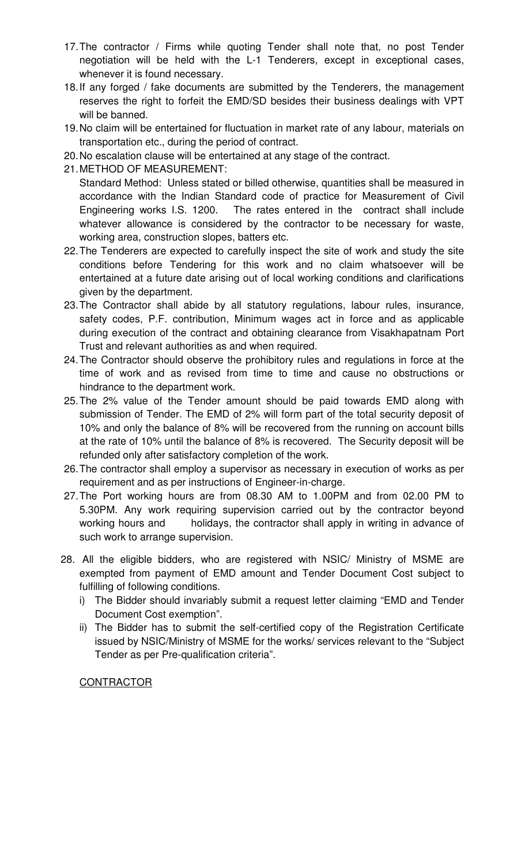- 17. The contractor / Firms while quoting Tender shall note that, no post Tender negotiation will be held with the L-1 Tenderers, except in exceptional cases, whenever it is found necessary.
- 18. If any forged / fake documents are submitted by the Tenderers, the management reserves the right to forfeit the EMD/SD besides their business dealings with VPT will be banned.
- 19. No claim will be entertained for fluctuation in market rate of any labour, materials on transportation etc., during the period of contract.
- 20. No escalation clause will be entertained at any stage of the contract.
- 21. METHOD OF MEASUREMENT:

 Standard Method: Unless stated or billed otherwise, quantities shall be measured in accordance with the Indian Standard code of practice for Measurement of Civil Engineering works I.S. 1200. The rates entered in the contract shall include whatever allowance is considered by the contractor to be necessary for waste, working area, construction slopes, batters etc.

- 22. The Tenderers are expected to carefully inspect the site of work and study the site conditions before Tendering for this work and no claim whatsoever will be entertained at a future date arising out of local working conditions and clarifications given by the department.
- 23. The Contractor shall abide by all statutory regulations, labour rules, insurance, safety codes, P.F. contribution, Minimum wages act in force and as applicable during execution of the contract and obtaining clearance from Visakhapatnam Port Trust and relevant authorities as and when required.
- 24. The Contractor should observe the prohibitory rules and regulations in force at the time of work and as revised from time to time and cause no obstructions or hindrance to the department work.
- 25. The 2% value of the Tender amount should be paid towards EMD along with submission of Tender. The EMD of 2% will form part of the total security deposit of 10% and only the balance of 8% will be recovered from the running on account bills at the rate of 10% until the balance of 8% is recovered. The Security deposit will be refunded only after satisfactory completion of the work.
- 26. The contractor shall employ a supervisor as necessary in execution of works as per requirement and as per instructions of Engineer-in-charge.
- 27. The Port working hours are from 08.30 AM to 1.00PM and from 02.00 PM to 5.30PM. Any work requiring supervision carried out by the contractor beyond working hours and holidays, the contractor shall apply in writing in advance of such work to arrange supervision.
- 28. All the eligible bidders, who are registered with NSIC/ Ministry of MSME are exempted from payment of EMD amount and Tender Document Cost subject to fulfilling of following conditions.
	- i) The Bidder should invariably submit a request letter claiming "EMD and Tender Document Cost exemption".
	- ii) The Bidder has to submit the self-certified copy of the Registration Certificate issued by NSIC/Ministry of MSME for the works/ services relevant to the "Subject Tender as per Pre-qualification criteria".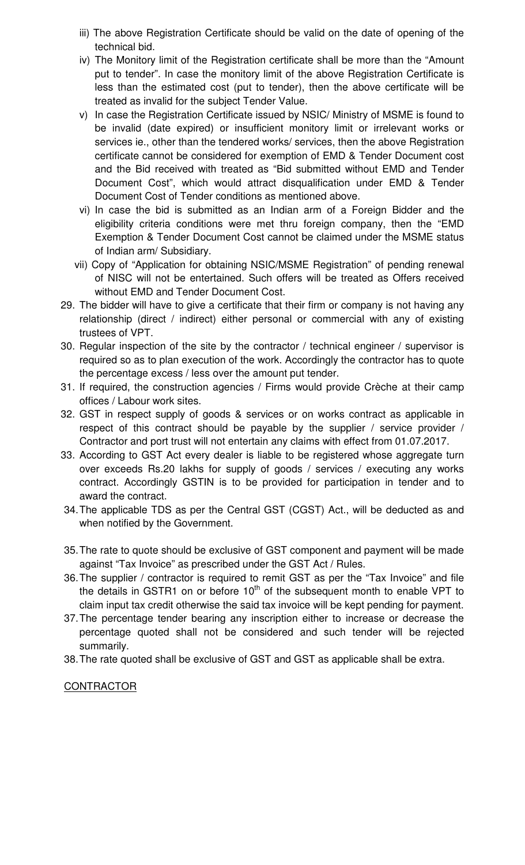- iii) The above Registration Certificate should be valid on the date of opening of the technical bid.
- iv) The Monitory limit of the Registration certificate shall be more than the "Amount put to tender". In case the monitory limit of the above Registration Certificate is less than the estimated cost (put to tender), then the above certificate will be treated as invalid for the subject Tender Value.
- v) In case the Registration Certificate issued by NSIC/ Ministry of MSME is found to be invalid (date expired) or insufficient monitory limit or irrelevant works or services ie., other than the tendered works/ services, then the above Registration certificate cannot be considered for exemption of EMD & Tender Document cost and the Bid received with treated as "Bid submitted without EMD and Tender Document Cost", which would attract disqualification under EMD & Tender Document Cost of Tender conditions as mentioned above.
- vi) In case the bid is submitted as an Indian arm of a Foreign Bidder and the eligibility criteria conditions were met thru foreign company, then the "EMD Exemption & Tender Document Cost cannot be claimed under the MSME status of Indian arm/ Subsidiary.
- vii) Copy of "Application for obtaining NSIC/MSME Registration" of pending renewal of NISC will not be entertained. Such offers will be treated as Offers received without EMD and Tender Document Cost.
- 29. The bidder will have to give a certificate that their firm or company is not having any relationship (direct / indirect) either personal or commercial with any of existing trustees of VPT.
- 30. Regular inspection of the site by the contractor / technical engineer / supervisor is required so as to plan execution of the work. Accordingly the contractor has to quote the percentage excess / less over the amount put tender.
- 31. If required, the construction agencies / Firms would provide Crèche at their camp offices / Labour work sites.
- 32. GST in respect supply of goods & services or on works contract as applicable in respect of this contract should be payable by the supplier / service provider / Contractor and port trust will not entertain any claims with effect from 01.07.2017.
- 33. According to GST Act every dealer is liable to be registered whose aggregate turn over exceeds Rs.20 lakhs for supply of goods / services / executing any works contract. Accordingly GSTIN is to be provided for participation in tender and to award the contract.
- 34. The applicable TDS as per the Central GST (CGST) Act., will be deducted as and when notified by the Government.
- 35. The rate to quote should be exclusive of GST component and payment will be made against "Tax Invoice" as prescribed under the GST Act / Rules.
- 36. The supplier / contractor is required to remit GST as per the "Tax Invoice" and file the details in GSTR1 on or before  $10<sup>th</sup>$  of the subsequent month to enable VPT to claim input tax credit otherwise the said tax invoice will be kept pending for payment.
- 37. The percentage tender bearing any inscription either to increase or decrease the percentage quoted shall not be considered and such tender will be rejected summarily.
- 38. The rate quoted shall be exclusive of GST and GST as applicable shall be extra.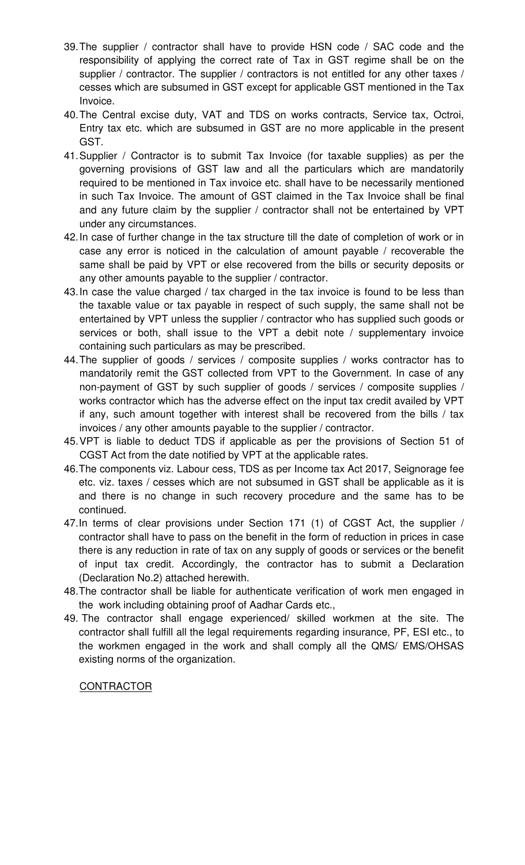- 39. The supplier / contractor shall have to provide HSN code / SAC code and the responsibility of applying the correct rate of Tax in GST regime shall be on the supplier / contractor. The supplier / contractors is not entitled for any other taxes / cesses which are subsumed in GST except for applicable GST mentioned in the Tax Invoice.
- 40. The Central excise duty, VAT and TDS on works contracts, Service tax, Octroi, Entry tax etc. which are subsumed in GST are no more applicable in the present GST.
- 41. Supplier / Contractor is to submit Tax Invoice (for taxable supplies) as per the governing provisions of GST law and all the particulars which are mandatorily required to be mentioned in Tax invoice etc. shall have to be necessarily mentioned in such Tax Invoice. The amount of GST claimed in the Tax Invoice shall be final and any future claim by the supplier / contractor shall not be entertained by VPT under any circumstances.
- 42. In case of further change in the tax structure till the date of completion of work or in case any error is noticed in the calculation of amount payable / recoverable the same shall be paid by VPT or else recovered from the bills or security deposits or any other amounts payable to the supplier / contractor.
- 43. In case the value charged / tax charged in the tax invoice is found to be less than the taxable value or tax payable in respect of such supply, the same shall not be entertained by VPT unless the supplier / contractor who has supplied such goods or services or both, shall issue to the VPT a debit note / supplementary invoice containing such particulars as may be prescribed.
- 44. The supplier of goods / services / composite supplies / works contractor has to mandatorily remit the GST collected from VPT to the Government. In case of any non-payment of GST by such supplier of goods / services / composite supplies / works contractor which has the adverse effect on the input tax credit availed by VPT if any, such amount together with interest shall be recovered from the bills / tax invoices / any other amounts payable to the supplier / contractor.
- 45. VPT is liable to deduct TDS if applicable as per the provisions of Section 51 of CGST Act from the date notified by VPT at the applicable rates.
- 46. The components viz. Labour cess, TDS as per Income tax Act 2017, Seignorage fee etc. viz. taxes / cesses which are not subsumed in GST shall be applicable as it is and there is no change in such recovery procedure and the same has to be continued.
- 47. In terms of clear provisions under Section 171 (1) of CGST Act, the supplier / contractor shall have to pass on the benefit in the form of reduction in prices in case there is any reduction in rate of tax on any supply of goods or services or the benefit of input tax credit. Accordingly, the contractor has to submit a Declaration (Declaration No.2) attached herewith.
- 48. The contractor shall be liable for authenticate verification of work men engaged in the work including obtaining proof of Aadhar Cards etc.,
- 49. The contractor shall engage experienced/ skilled workmen at the site. The contractor shall fulfill all the legal requirements regarding insurance, PF, ESI etc., to the workmen engaged in the work and shall comply all the QMS/ EMS/OHSAS existing norms of the organization.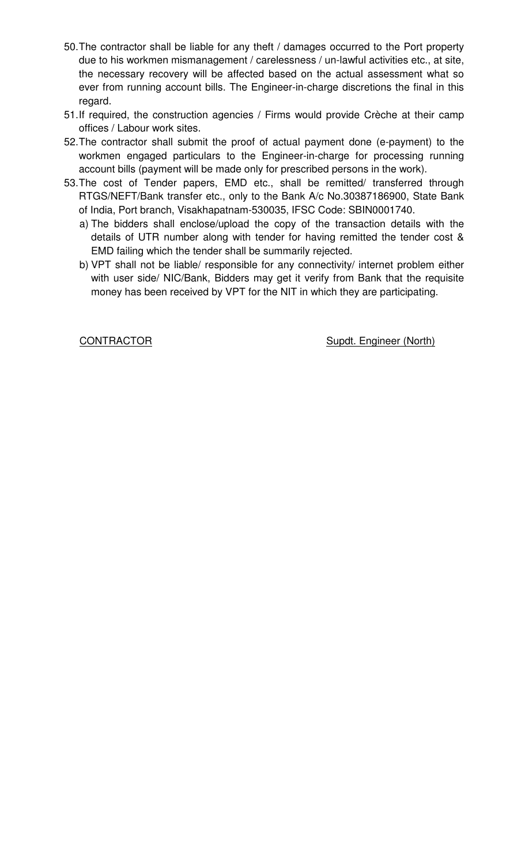- 50. The contractor shall be liable for any theft / damages occurred to the Port property due to his workmen mismanagement / carelessness / un-lawful activities etc., at site, the necessary recovery will be affected based on the actual assessment what so ever from running account bills. The Engineer-in-charge discretions the final in this regard.
- 51. If required, the construction agencies / Firms would provide Crèche at their camp offices / Labour work sites.
- 52. The contractor shall submit the proof of actual payment done (e-payment) to the workmen engaged particulars to the Engineer-in-charge for processing running account bills (payment will be made only for prescribed persons in the work).
- 53. The cost of Tender papers, EMD etc., shall be remitted/ transferred through RTGS/NEFT/Bank transfer etc., only to the Bank A/c No.30387186900, State Bank of India, Port branch, Visakhapatnam-530035, IFSC Code: SBIN0001740.
	- a) The bidders shall enclose/upload the copy of the transaction details with the details of UTR number along with tender for having remitted the tender cost & EMD failing which the tender shall be summarily rejected.
	- b) VPT shall not be liable/ responsible for any connectivity/ internet problem either with user side/ NIC/Bank, Bidders may get it verify from Bank that the requisite money has been received by VPT for the NIT in which they are participating.

CONTRACTOR Supdt. Engineer (North)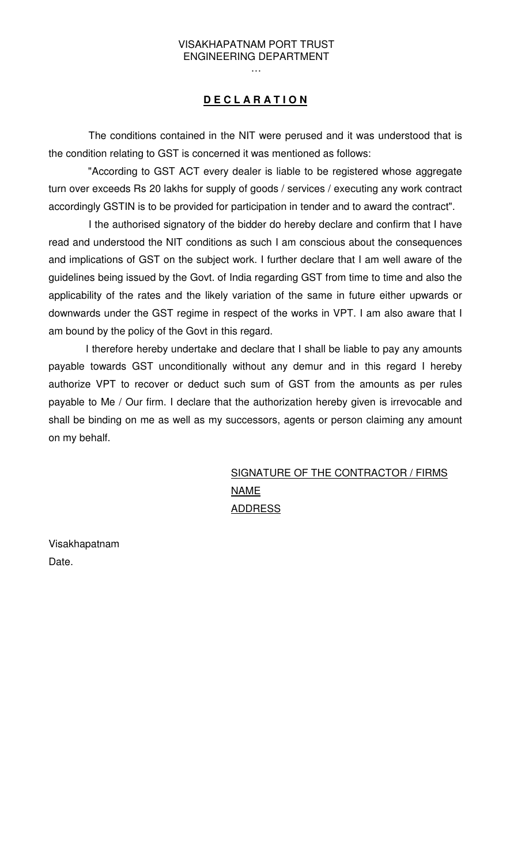…

## **D E C L A R A T I O N**

 The conditions contained in the NIT were perused and it was understood that is the condition relating to GST is concerned it was mentioned as follows:

 "According to GST ACT every dealer is liable to be registered whose aggregate turn over exceeds Rs 20 lakhs for supply of goods / services / executing any work contract accordingly GSTIN is to be provided for participation in tender and to award the contract".

 I the authorised signatory of the bidder do hereby declare and confirm that I have read and understood the NIT conditions as such I am conscious about the consequences and implications of GST on the subject work. I further declare that I am well aware of the guidelines being issued by the Govt. of India regarding GST from time to time and also the applicability of the rates and the likely variation of the same in future either upwards or downwards under the GST regime in respect of the works in VPT. I am also aware that I am bound by the policy of the Govt in this regard.

 I therefore hereby undertake and declare that I shall be liable to pay any amounts payable towards GST unconditionally without any demur and in this regard I hereby authorize VPT to recover or deduct such sum of GST from the amounts as per rules payable to Me / Our firm. I declare that the authorization hereby given is irrevocable and shall be binding on me as well as my successors, agents or person claiming any amount on my behalf.

# SIGNATURE OF THE CONTRACTOR / FIRMS NAME ADDRESS

Visakhapatnam Date.